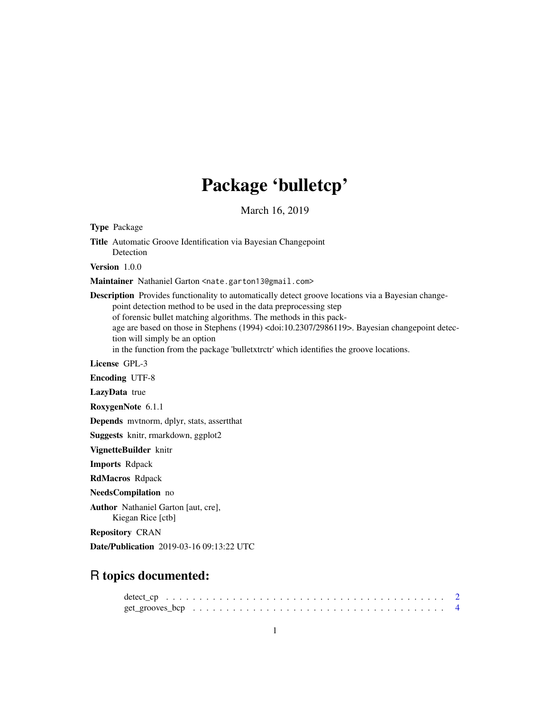# Package 'bulletcp'

March 16, 2019

Type Package Title Automatic Groove Identification via Bayesian Changepoint Detection Version 1.0.0 Maintainer Nathaniel Garton <nate.garton13@gmail.com> Description Provides functionality to automatically detect groove locations via a Bayesian changepoint detection method to be used in the data preprocessing step of forensic bullet matching algorithms. The methods in this package are based on those in Stephens (1994) <doi:10.2307/2986119>. Bayesian changepoint detection will simply be an option in the function from the package 'bulletxtrctr' which identifies the groove locations. License GPL-3 Encoding UTF-8 LazyData true RoxygenNote 6.1.1 Depends mvtnorm, dplyr, stats, assertthat Suggests knitr, rmarkdown, ggplot2 VignetteBuilder knitr Imports Rdpack RdMacros Rdpack NeedsCompilation no Author Nathaniel Garton [aut, cre], Kiegan Rice [ctb] Repository CRAN Date/Publication 2019-03-16 09:13:22 UTC

# R topics documented: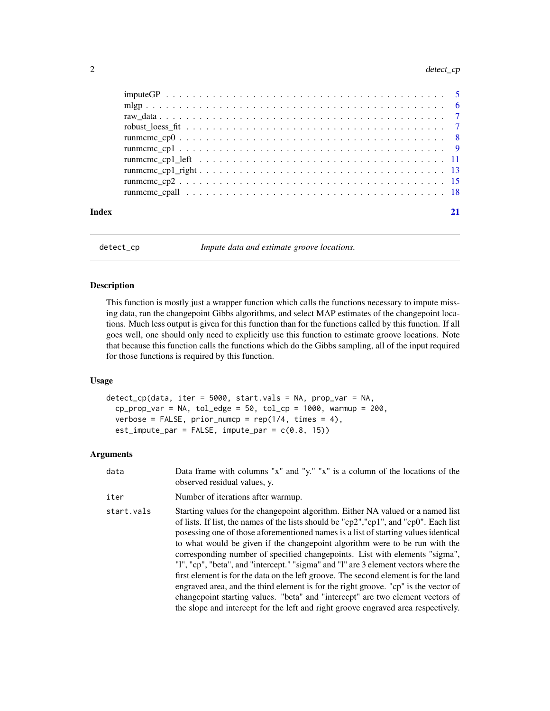#### <span id="page-1-0"></span>2 detect\_cp

| Index |  |
|-------|--|

detect\_cp *Impute data and estimate groove locations.*

## Description

This function is mostly just a wrapper function which calls the functions necessary to impute missing data, run the changepoint Gibbs algorithms, and select MAP estimates of the changepoint locations. Much less output is given for this function than for the functions called by this function. If all goes well, one should only need to explicitly use this function to estimate groove locations. Note that because this function calls the functions which do the Gibbs sampling, all of the input required for those functions is required by this function.

## Usage

```
detect_cp(data, iter = 5000, start.vals = NA, prop_var = NA,
  cp\_prop\_var = NA, tol\_edge = 50, tol\_cp = 1000, warmup = 200,
  verbose = FALSE, prior\_number = rep(1/4, times = 4),
  est\_impute\_par = FALSE, impute\_par = c(0.8, 15)
```
#### Arguments

| data | Data frame with columns "x" and "y." "x" is a column of the locations of the |
|------|------------------------------------------------------------------------------|
|      | observed residual values, y.                                                 |

#### iter Number of iterations after warmup.

start. vals Starting values for the changepoint algorithm. Either NA valued or a named list of lists. If list, the names of the lists should be "cp2","cp1", and "cp0". Each list posessing one of those aforementioned names is a list of starting values identical to what would be given if the changepoint algorithm were to be run with the corresponding number of specified changepoints. List with elements "sigma", "l", "cp", "beta", and "intercept." "sigma" and "l" are 3 element vectors where the first element is for the data on the left groove. The second element is for the land engraved area, and the third element is for the right groove. "cp" is the vector of changepoint starting values. "beta" and "intercept" are two element vectors of the slope and intercept for the left and right groove engraved area respectively.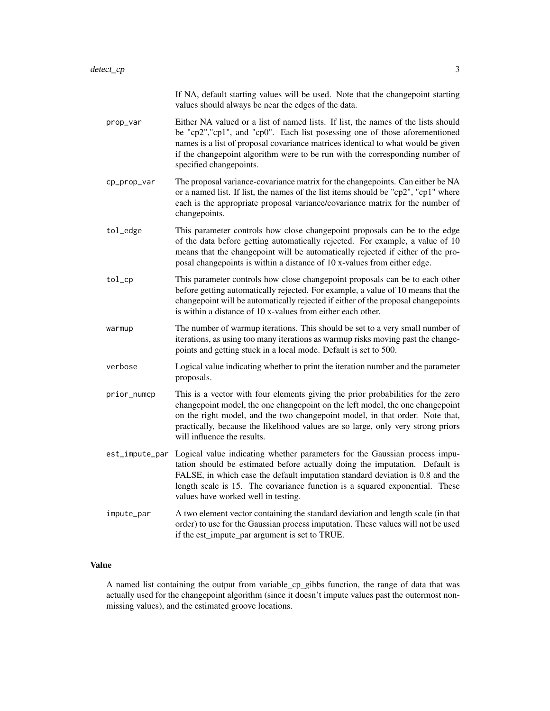|                | If NA, default starting values will be used. Note that the changepoint starting<br>values should always be near the edges of the data.                                                                                                                                                                                                                              |
|----------------|---------------------------------------------------------------------------------------------------------------------------------------------------------------------------------------------------------------------------------------------------------------------------------------------------------------------------------------------------------------------|
| prop_var       | Either NA valued or a list of named lists. If list, the names of the lists should<br>be "cp2", "cp1", and "cp0". Each list posessing one of those aforementioned<br>names is a list of proposal covariance matrices identical to what would be given<br>if the changepoint algorithm were to be run with the corresponding number of<br>specified changepoints.     |
| cp_prop_var    | The proposal variance-covariance matrix for the changepoints. Can either be NA<br>or a named list. If list, the names of the list items should be "cp2", "cp1" where<br>each is the appropriate proposal variance/covariance matrix for the number of<br>changepoints.                                                                                              |
| tol_edge       | This parameter controls how close changepoint proposals can be to the edge<br>of the data before getting automatically rejected. For example, a value of 10<br>means that the changepoint will be automatically rejected if either of the pro-<br>posal changepoints is within a distance of 10 x-values from either edge.                                          |
| tol_cp         | This parameter controls how close changepoint proposals can be to each other<br>before getting automatically rejected. For example, a value of 10 means that the<br>changepoint will be automatically rejected if either of the proposal changepoints<br>is within a distance of 10 x-values from either each other.                                                |
| warmup         | The number of warmup iterations. This should be set to a very small number of<br>iterations, as using too many iterations as warmup risks moving past the change-<br>points and getting stuck in a local mode. Default is set to 500.                                                                                                                               |
| verbose        | Logical value indicating whether to print the iteration number and the parameter<br>proposals.                                                                                                                                                                                                                                                                      |
| prior_numcp    | This is a vector with four elements giving the prior probabilities for the zero<br>changepoint model, the one changepoint on the left model, the one changepoint<br>on the right model, and the two changepoint model, in that order. Note that,<br>practically, because the likelihood values are so large, only very strong priors<br>will influence the results. |
| est_impute_par | Logical value indicating whether parameters for the Gaussian process impu-<br>tation should be estimated before actually doing the imputation. Default is<br>FALSE, in which case the default imputation standard deviation is 0.8 and the<br>length scale is 15. The covariance function is a squared exponential. These<br>values have worked well in testing.    |
| impute_par     | A two element vector containing the standard deviation and length scale (in that<br>order) to use for the Gaussian process imputation. These values will not be used<br>if the est_impute_par argument is set to TRUE.                                                                                                                                              |

# Value

A named list containing the output from variable\_cp\_gibbs function, the range of data that was actually used for the changepoint algorithm (since it doesn't impute values past the outermost nonmissing values), and the estimated groove locations.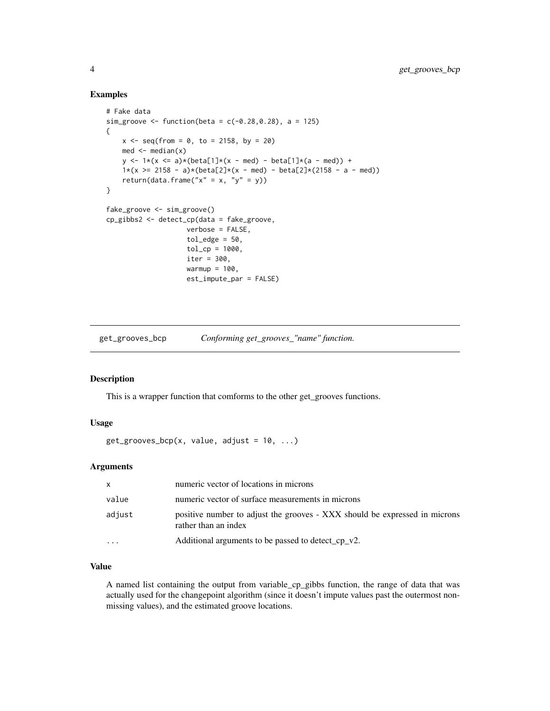# Examples

```
# Fake data
sim_groove <- function(beta = c(-0.28, 0.28), a = 125)
{
    x \le - seq(from = 0, to = 2158, by = 20)
    med \leq median(x)
    y \le -1*(x \le a)*(beta[1]*(x - med) - beta[1]*(a - med)) +1*(x \ge 2158 - a)*(beta[2]*(x - med) - beta[2]*(2158 - a - med))return(data.frame("x'' = x, "y'' = y))
}
fake_groove <- sim_groove()
cp_gibbs2 <- detect_cp(data = fake_groove,
                     verbose = FALSE,
                     tol<sub>edge</sub> = 50,
                     tol_cp = 1000,
                     iter = 300.
                     warmup = 100,
                     est_impute_par = FALSE)
```
get\_grooves\_bcp *Conforming get\_grooves\_"name" function.*

### Description

This is a wrapper function that comforms to the other get\_grooves functions.

# Usage

```
get_grooves_bcp(x, value, adjust = 10, ...)
```
# Arguments

| x         | numeric vector of locations in microns                                                             |
|-----------|----------------------------------------------------------------------------------------------------|
| value     | numeric vector of surface measurements in microns                                                  |
| adjust    | positive number to adjust the grooves - XXX should be expressed in microns<br>rather than an index |
| $\ddotsc$ | Additional arguments to be passed to detect_cp_v2.                                                 |

# Value

A named list containing the output from variable\_cp\_gibbs function, the range of data that was actually used for the changepoint algorithm (since it doesn't impute values past the outermost nonmissing values), and the estimated groove locations.

<span id="page-3-0"></span>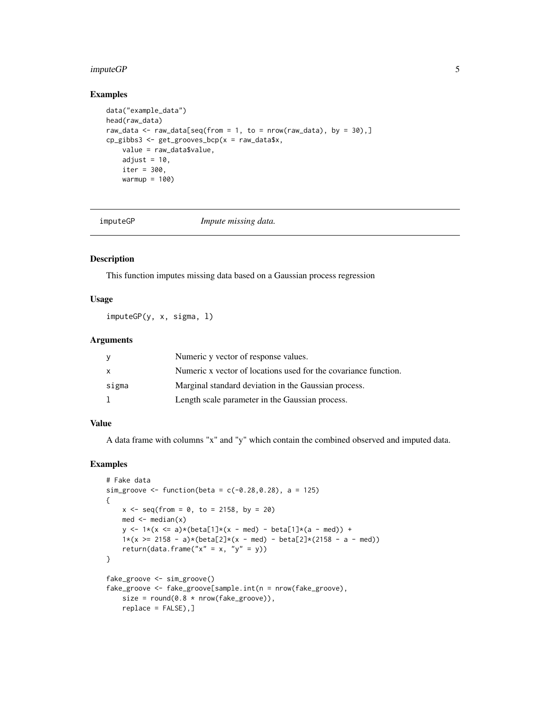#### <span id="page-4-0"></span>imputeGP 5

# Examples

```
data("example_data")
head(raw_data)
raw_data <- raw_data[seq(from = 1, to = nrow(raw_data), by = 30),]
cp_gibbs3 <- get_grooves_bcp(x = raw_data$x,
    value = raw_data$value,
    adjust = 10,
    iter = 300,
    warmup = 100)
```
imputeGP *Impute missing data.*

# Description

This function imputes missing data based on a Gaussian process regression

# Usage

imputeGP(y, x, sigma, l)

# Arguments

|         | Numeric y vector of response values.                            |
|---------|-----------------------------------------------------------------|
| x       | Numeric x vector of locations used for the covariance function. |
| sigma   | Marginal standard deviation in the Gaussian process.            |
| $\perp$ | Length scale parameter in the Gaussian process.                 |

# Value

A data frame with columns "x" and "y" which contain the combined observed and imputed data.

```
# Fake data
sim_groove <- function(beta = c(-0.28, 0.28), a = 125)
{
   x \le - seq(from = 0, to = 2158, by = 20)
   med <- median(x)
   y \le -1*(x \le a)*(beta[1]*(x - med) - beta[1]*(a - med)) +1*(x \ge 2158 - a)*(beta[2]*(x - med) - beta[2]*(2158 - a - med))return(data.frame("x" = x, "y" = y))
}
fake_groove <- sim_groove()
fake_groove <- fake_groove[sample.int(n = nrow(fake_groove),
   size = round(0.8 * new(fake_groove)),replace = FALSE),]
```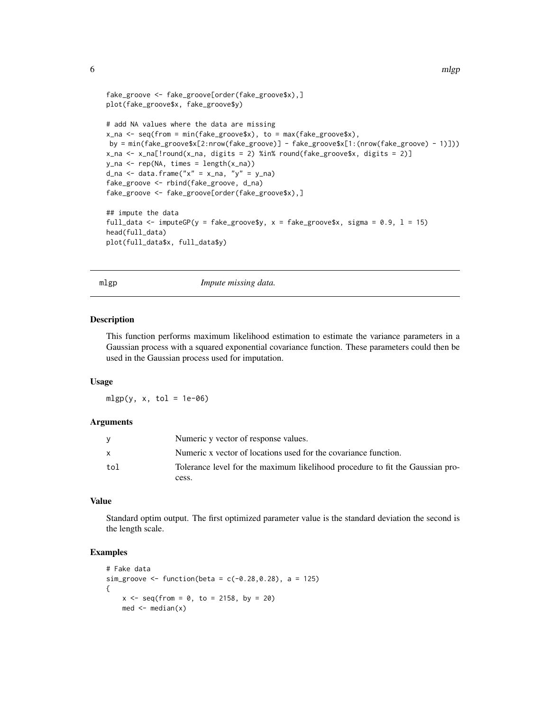```
6 mlgp mass of the contract of the contract of the contract of the contract of the contract of the contract of the contract of the contract of the contract of the contract of the contract of the contract of the contract of
```

```
fake_groove <- fake_groove[order(fake_groove$x),]
plot(fake_groove$x, fake_groove$y)
# add NA values where the data are missing
x_na <- seq(from = min(fake_groove$x), to = max(fake_groove$x),
by = min(fake_groove$x[2:nrow(fake_groove)] - fake_groove$x[1:(nrow(fake_groove) - 1)]))
x_na <- x_na[!round(x_na, digits = 2) %in% round(fake_groove$x, digits = 2)]
y<sub>-</sub>na < - rep(NA, times = length(x<sub>-</sub>na))d_na <- data.frame("x'' = x_na, "y'' = y_na)
fake_groove <- rbind(fake_groove, d_na)
fake_groove <- fake_groove[order(fake_groove$x),]
## impute the data
full_data <- imputeGP(y = fake_groove$y, x = fake_groove$x, sigma = 0.9, 1 = 15)
head(full_data)
plot(full_data$x, full_data$y)
```
mlgp *Impute missing data.*

#### Description

This function performs maximum likelihood estimation to estimate the variance parameters in a Gaussian process with a squared exponential covariance function. These parameters could then be used in the Gaussian process used for imputation.

# Usage

 $mlgp(y, x, tol = 1e-06)$ 

#### Arguments

|     | Numeric y vector of response values.                                          |
|-----|-------------------------------------------------------------------------------|
| X   | Numeric x vector of locations used for the covariance function.               |
| tol | Tolerance level for the maximum likelihood procedure to fit the Gaussian pro- |
|     | cess.                                                                         |

#### Value

Standard optim output. The first optimized parameter value is the standard deviation the second is the length scale.

```
# Fake data
sim\_groove <- function(beta = c(-0.28, 0.28), a = 125)
{
   x \le - seq(from = 0, to = 2158, by = 20)
   med <- median(x)
```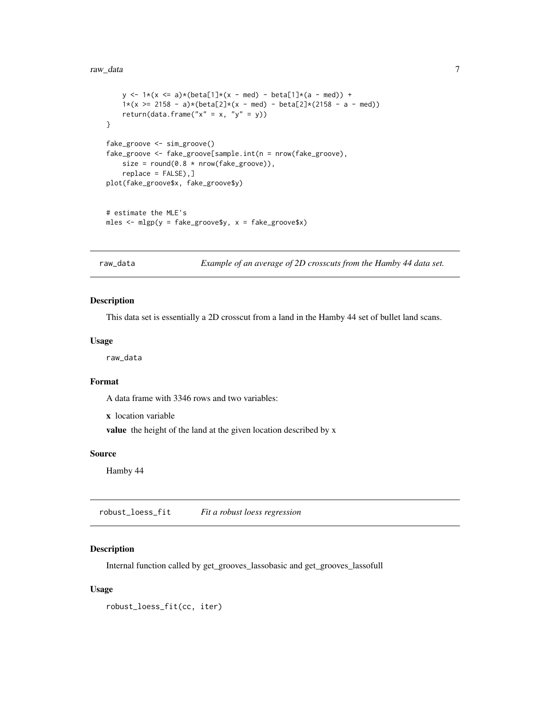#### <span id="page-6-0"></span>raw\_data 7

```
y \le -1*(x \le a)*(beta[1]*(x - med) - beta[1]*(a - med)) +1*(x \ge 2158 - a)*(beta[2]*(x - med) - beta[2]*(2158 - a - med))return(data.frame("x'' = x, "y'' = y))
}
fake_groove <- sim_groove()
fake_groove <- fake_groove[sample.int(n = nrow(fake_groove),
   size = round(0.8 * new(fake_groove)),replace = FALSE),]
plot(fake_groove$x, fake_groove$y)
# estimate the MLE's
mles \leq mlgp(y = fake_groove$y, x = fake_groove$x)
```
raw\_data *Example of an average of 2D crosscuts from the Hamby 44 data set.*

#### Description

This data set is essentially a 2D crosscut from a land in the Hamby 44 set of bullet land scans.

#### Usage

raw\_data

# Format

A data frame with 3346 rows and two variables:

x location variable

value the height of the land at the given location described by x

# Source

Hamby 44

robust\_loess\_fit *Fit a robust loess regression*

#### Description

Internal function called by get\_grooves\_lassobasic and get\_grooves\_lassofull

#### Usage

robust\_loess\_fit(cc, iter)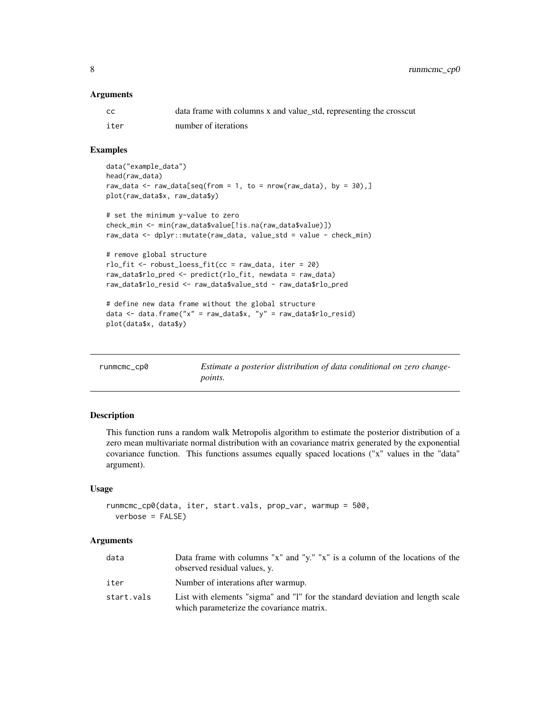#### <span id="page-7-0"></span>**Arguments**

| CC.  | data frame with columns x and value_std, representing the crosscut |
|------|--------------------------------------------------------------------|
| iter | number of iterations                                               |

# Examples

```
data("example_data")
head(raw_data)
raw_data <- raw_data[seq(from = 1, to = nrow(raw_data), by = 30),]
plot(raw_data$x, raw_data$y)
# set the minimum y-value to zero
check_min <- min(raw_data$value[!is.na(raw_data$value)])
raw_data <- dplyr::mutate(raw_data, value_std = value - check_min)
# remove global structure
rlo_fit <- robust_loess_fit(cc = raw_data, iter = 20)
raw_data$rlo_pred <- predict(rlo_fit, newdata = raw_data)
raw_data$rlo_resid <- raw_data$value_std - raw_data$rlo_pred
# define new data frame without the global structure
data \leq data.frame("x" = raw_data$x, "y" = raw_data$rlo_resid)
plot(data$x, data$y)
```

| runmcmc_cp0 | Estimate a posterior distribution of data conditional on zero change- |
|-------------|-----------------------------------------------------------------------|
|             | <i>points.</i>                                                        |

# Description

This function runs a random walk Metropolis algorithm to estimate the posterior distribution of a zero mean multivariate normal distribution with an covariance matrix generated by the exponential covariance function. This functions assumes equally spaced locations ("x" values in the "data" argument).

#### Usage

```
runmcmc_cp0(data, iter, start.vals, prop_var, warmup = 500,
 verbose = FALSE)
```
#### Arguments

| data       | Data frame with columns "x" and "y." "x" is a column of the locations of the<br>observed residual values, y.                |
|------------|-----------------------------------------------------------------------------------------------------------------------------|
| iter       | Number of interations after warmup.                                                                                         |
| start.vals | List with elements "sigma" and "l" for the standard deviation and length scale<br>which parameterize the covariance matrix. |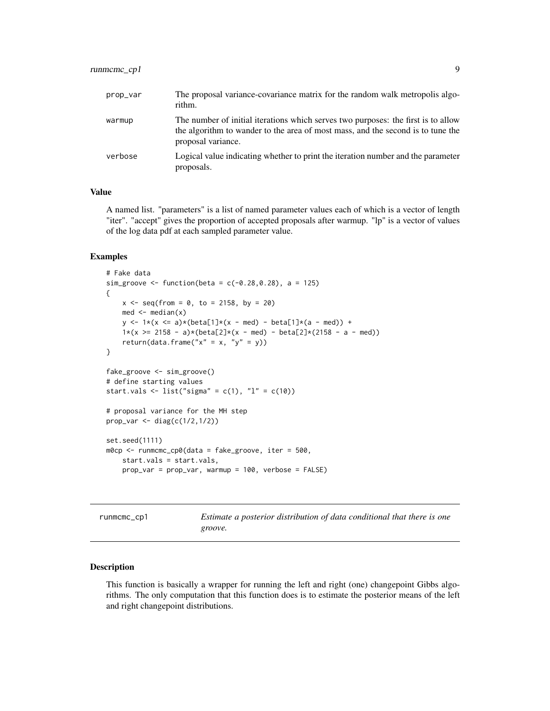# <span id="page-8-0"></span>runmcmc\_cp1 9

| prop_var | The proposal variance-covariance matrix for the random walk metropolis algo-<br>rithm.                                                                                                     |
|----------|--------------------------------------------------------------------------------------------------------------------------------------------------------------------------------------------|
| warmup   | The number of initial iterations which serves two purposes: the first is to allow<br>the algorithm to wander to the area of most mass, and the second is to tune the<br>proposal variance. |
| verbose  | Logical value indicating whether to print the iteration number and the parameter<br>proposals.                                                                                             |

# Value

A named list. "parameters" is a list of named parameter values each of which is a vector of length "iter". "accept" gives the proportion of accepted proposals after warmup. "lp" is a vector of values of the log data pdf at each sampled parameter value.

# Examples

```
# Fake data
sim_groove <- function(beta = c(-0.28, 0.28), a = 125)
{
   x \le - seq(from = 0, to = 2158, by = 20)
   med <- median(x)
   y \le -1*(x \le a)*(beta[1]*(x - med) - beta[1]*(a - med)) +1*(x \ge 2158 - a)*(beta[2]*(x - med) - beta[2]*(2158 - a - med))return(data.frame("x'' = x, "y'' = y))
}
fake_groove <- sim_groove()
# define starting values
start.vals <- list("sigma" = c(1), "l" = c(10))
# proposal variance for the MH step
prop_var <- diag(c(1/2,1/2))
set.seed(1111)
m0cp <- runmcmc_cp0(data = fake_groove, iter = 500,
   start.vals = start.vals,
   prop_var = prop_var, warmup = 100, verbose = FALSE)
```
runmcmc\_cp1 *Estimate a posterior distribution of data conditional that there is one groove.*

#### Description

This function is basically a wrapper for running the left and right (one) changepoint Gibbs algorithms. The only computation that this function does is to estimate the posterior means of the left and right changepoint distributions.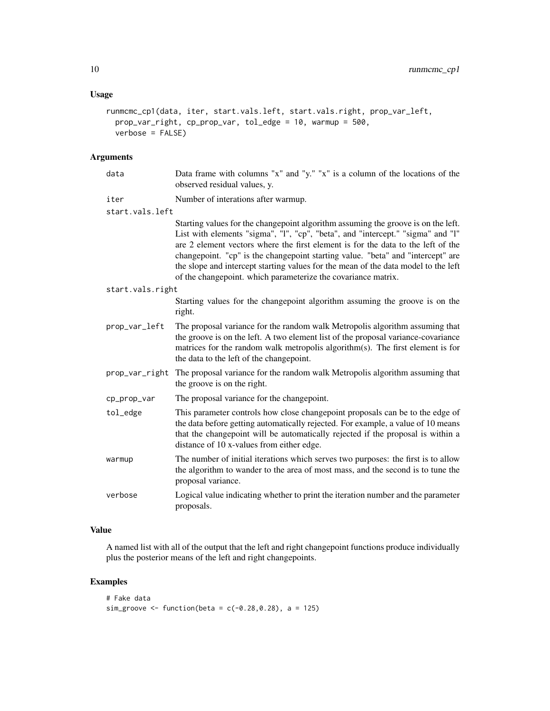# Usage

```
runmcmc_cp1(data, iter, start.vals.left, start.vals.right, prop_var_left,
 prop_var_right, cp_prop_var, tol_edge = 10, warmup = 500,
 verbose = FALSE)
```
# Arguments

| data             | Data frame with columns "x" and "y." "x" is a column of the locations of the<br>observed residual values, y.                                                                                                                                                                                                                                                                                                                                                                                       |
|------------------|----------------------------------------------------------------------------------------------------------------------------------------------------------------------------------------------------------------------------------------------------------------------------------------------------------------------------------------------------------------------------------------------------------------------------------------------------------------------------------------------------|
| iter             | Number of interations after warmup.                                                                                                                                                                                                                                                                                                                                                                                                                                                                |
| start.vals.left  |                                                                                                                                                                                                                                                                                                                                                                                                                                                                                                    |
|                  | Starting values for the changepoint algorithm assuming the groove is on the left.<br>List with elements "sigma", "1", "cp", "beta", and "intercept." "sigma" and "1"<br>are 2 element vectors where the first element is for the data to the left of the<br>changepoint. "cp" is the changepoint starting value. "beta" and "intercept" are<br>the slope and intercept starting values for the mean of the data model to the left<br>of the changepoint. which parameterize the covariance matrix. |
| start.vals.right |                                                                                                                                                                                                                                                                                                                                                                                                                                                                                                    |
|                  | Starting values for the changepoint algorithm assuming the groove is on the<br>right.                                                                                                                                                                                                                                                                                                                                                                                                              |
| prop_var_left    | The proposal variance for the random walk Metropolis algorithm assuming that<br>the groove is on the left. A two element list of the proposal variance-covariance<br>matrices for the random walk metropolis algorithm(s). The first element is for<br>the data to the left of the changepoint.                                                                                                                                                                                                    |
|                  | prop_var_right The proposal variance for the random walk Metropolis algorithm assuming that<br>the groove is on the right.                                                                                                                                                                                                                                                                                                                                                                         |
| cp_prop_var      | The proposal variance for the changepoint.                                                                                                                                                                                                                                                                                                                                                                                                                                                         |
| tol_edge         | This parameter controls how close changepoint proposals can be to the edge of<br>the data before getting automatically rejected. For example, a value of 10 means<br>that the changepoint will be automatically rejected if the proposal is within a<br>distance of 10 x-values from either edge.                                                                                                                                                                                                  |
| warmup           | The number of initial iterations which serves two purposes: the first is to allow<br>the algorithm to wander to the area of most mass, and the second is to tune the<br>proposal variance.                                                                                                                                                                                                                                                                                                         |
| verbose          | Logical value indicating whether to print the iteration number and the parameter<br>proposals.                                                                                                                                                                                                                                                                                                                                                                                                     |
|                  |                                                                                                                                                                                                                                                                                                                                                                                                                                                                                                    |

# Value

A named list with all of the output that the left and right changepoint functions produce individually plus the posterior means of the left and right changepoints.

```
# Fake data
sim_groove <- function(beta = c(-0.28, 0.28), a = 125)
```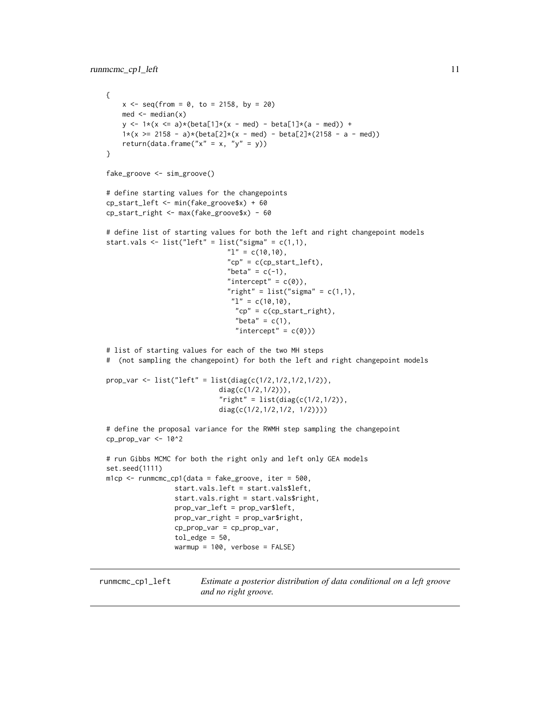# <span id="page-10-0"></span>runmcmc\_cp1\_left 11

```
{
    x \le - seq(from = 0, to = 2158, by = 20)
   med <- median(x)
   y \le -1*(x \le a)*(beta[1]*(x - med) - beta[1]*(a - med)) +1*(x \ge 2158 - a)*(beta[2]*(x - med) - beta[2]*(2158 - a - med))return(data.frame("x'' = x, "y'' = y))
}
fake_groove <- sim_groove()
# define starting values for the changepoints
cp_start_left <- min(fake_groove$x) + 60
cp_start_right <- max(fake_groove$x) - 60
# define list of starting values for both the left and right changepoint models
start.vals <- list("left" = list("sigma" = c(1,1),
                               "1" = c(10,10),
                               "cp" = c(cp_start_left),
                               "beta" = c(-1),
                               "intercept" = c(0)),
                               "right" = list("sigma" = c(1,1),
                                "1" = c(10,10),
                                "cp" = c(cp_start_right),
                                 "beta" = c(1),
                                 "intercept" = c(\emptyset)))
# list of starting values for each of the two MH steps
# (not sampling the changepoint) for both the left and right changepoint models
prop_var <- list("left" = list(diag(c(1/2,1/2,1/2,1/2)),
                            diag(c(1/2,1/2))),
                            "right" = list(diag(c(1/2, 1/2)),diag(c(1/2,1/2,1/2, 1/2))))
# define the proposal variance for the RWMH step sampling the changepoint
cp\_prop\_var < -10^2# run Gibbs MCMC for both the right only and left only GEA models
set.seed(1111)
mlcp < - runmcmc_cp1(data = fake_groove, iter = 500,
                 start.vals.left = start.vals$left,
                 start.vals.right = start.vals$right,
                 prop_var_left = prop_var$left,
                 prop_var_right = prop_var$right,
                 cp_prop_var = cp_prop_var,
                 tol\_edge = 50,
                 warmup = 100, verbose = FALSE)
```
runmcmc\_cp1\_left *Estimate a posterior distribution of data conditional on a left groove and no right groove.*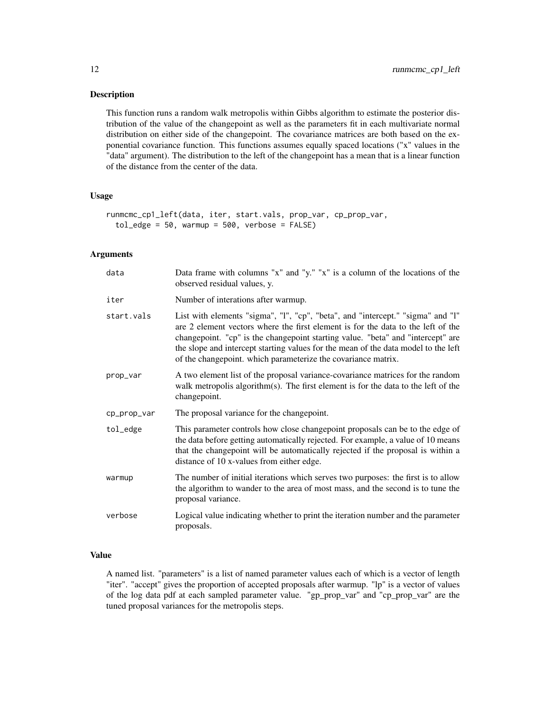# Description

This function runs a random walk metropolis within Gibbs algorithm to estimate the posterior distribution of the value of the changepoint as well as the parameters fit in each multivariate normal distribution on either side of the changepoint. The covariance matrices are both based on the exponential covariance function. This functions assumes equally spaced locations ("x" values in the "data" argument). The distribution to the left of the changepoint has a mean that is a linear function of the distance from the center of the data.

# Usage

```
runmcmc_cp1_left(data, iter, start.vals, prop_var, cp_prop_var,
  tol\_edge = 50, warmup = 500, verbose = FALSE)
```
# Arguments

| data        | Data frame with columns "x" and "y." "x" is a column of the locations of the<br>observed residual values, y.                                                                                                                                                                                                                                                                                                  |
|-------------|---------------------------------------------------------------------------------------------------------------------------------------------------------------------------------------------------------------------------------------------------------------------------------------------------------------------------------------------------------------------------------------------------------------|
| iter        | Number of interations after warmup.                                                                                                                                                                                                                                                                                                                                                                           |
| start.vals  | List with elements "sigma", "I", "cp", "beta", and "intercept." "sigma" and "I"<br>are 2 element vectors where the first element is for the data to the left of the<br>changepoint. "cp" is the changepoint starting value. "beta" and "intercept" are<br>the slope and intercept starting values for the mean of the data model to the left<br>of the changepoint. which parameterize the covariance matrix. |
| prop_var    | A two element list of the proposal variance-covariance matrices for the random<br>walk metropolis algorithm(s). The first element is for the data to the left of the<br>changepoint.                                                                                                                                                                                                                          |
| cp_prop_var | The proposal variance for the changepoint.                                                                                                                                                                                                                                                                                                                                                                    |
| tol_edge    | This parameter controls how close changepoint proposals can be to the edge of<br>the data before getting automatically rejected. For example, a value of 10 means<br>that the changepoint will be automatically rejected if the proposal is within a<br>distance of 10 x-values from either edge.                                                                                                             |
| warmup      | The number of initial iterations which serves two purposes: the first is to allow<br>the algorithm to wander to the area of most mass, and the second is to tune the<br>proposal variance.                                                                                                                                                                                                                    |
| verbose     | Logical value indicating whether to print the iteration number and the parameter<br>proposals.                                                                                                                                                                                                                                                                                                                |

# Value

A named list. "parameters" is a list of named parameter values each of which is a vector of length "iter". "accept" gives the proportion of accepted proposals after warmup. "lp" is a vector of values of the log data pdf at each sampled parameter value. "gp\_prop\_var" and "cp\_prop\_var" are the tuned proposal variances for the metropolis steps.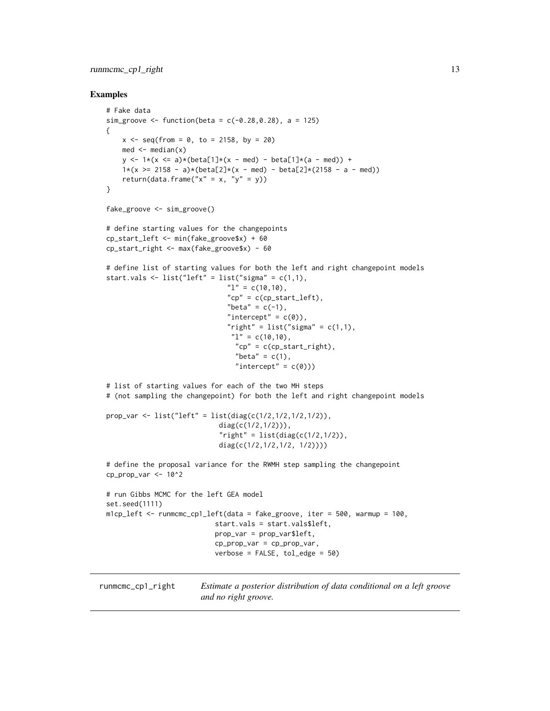# <span id="page-12-0"></span>runmcmc\_cp1\_right 13

```
# Fake data
sim_groove <- function(beta = c(-0.28, 0.28), a = 125)
{
    x \le - seq(from = 0, to = 2158, by = 20)
   med <- median(x)
   y \le -1*(x \le a)*(beta[1]*(x - med) - beta[1]*(a - med)) +1*(x \ge 2158 - a)*(beta[2]*(x - med) - beta[2]*(2158 - a - med))return(data.frame("x'' = x, "y'' = y))
}
fake_groove <- sim_groove()
# define starting values for the changepoints
cp_start_left <- min(fake_groove$x) + 60
cp_start_right <- max(fake_groove$x) - 60
# define list of starting values for both the left and right changepoint models
start.vals \le list("left" = list("sigma" = c(1,1),
                              "1" = c(10,10),
                              "cp" = c(cp_start_left),"beta" = c(-1),
                              "intercept" = c(0)),
                              "right" = list("sigma" = c(1,1),"1" = c(10,10),
                                "cp" = c(cp_start_right),"beta" = c(1),
                                "intercept" = c(0)))
# list of starting values for each of the two MH steps
# (not sampling the changepoint) for both the left and right changepoint models
prop_var <- list("left" = list(diag(c(1/2,1/2,1/2,1/2)),
                            diag(c(1/2,1/2))),
                            "right" = list(diag(c(1/2, 1/2)),diag(c(1/2,1/2,1/2, 1/2))))
# define the proposal variance for the RWMH step sampling the changepoint
cp_prop_var <- 10^2
# run Gibbs MCMC for the left GEA model
set.seed(1111)
m1cp_left <- runmcmc_cp1_left(data = fake_groove, iter = 500, warmup = 100,
                           start.vals = start.vals$left,
                           prop_var = prop_var$left,
                           cp_prop_var = cp_prop_var,
                           verbose = FALSE, tol_edge = 50)
```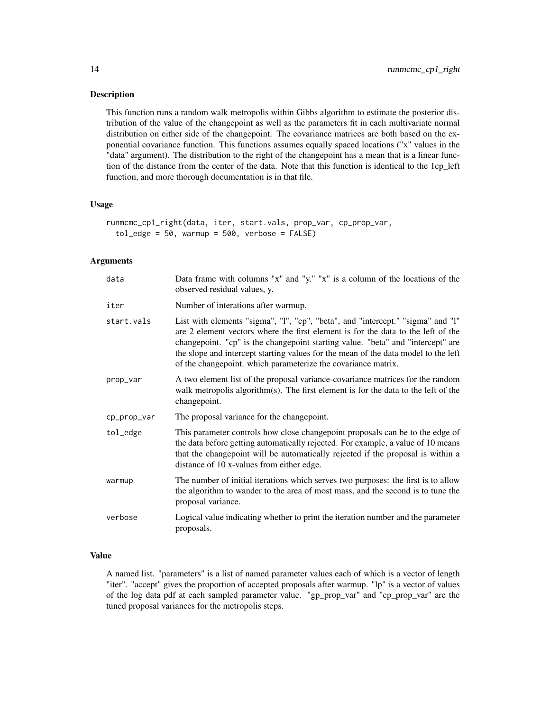#### Description

This function runs a random walk metropolis within Gibbs algorithm to estimate the posterior distribution of the value of the changepoint as well as the parameters fit in each multivariate normal distribution on either side of the changepoint. The covariance matrices are both based on the exponential covariance function. This functions assumes equally spaced locations ("x" values in the "data" argument). The distribution to the right of the changepoint has a mean that is a linear function of the distance from the center of the data. Note that this function is identical to the 1cp\_left function, and more thorough documentation is in that file.

#### Usage

```
runmcmc_cp1_right(data, iter, start.vals, prop_var, cp_prop_var,
  tol\_edge = 50, warmup = 500, verbose = FALSE)
```
# Arguments

| data        | Data frame with columns "x" and "y." "x" is a column of the locations of the<br>observed residual values, y.                                                                                                                                                                                                                                                                                                  |
|-------------|---------------------------------------------------------------------------------------------------------------------------------------------------------------------------------------------------------------------------------------------------------------------------------------------------------------------------------------------------------------------------------------------------------------|
| iter        | Number of interations after warmup.                                                                                                                                                                                                                                                                                                                                                                           |
| start.vals  | List with elements "sigma", "I", "cp", "beta", and "intercept." "sigma" and "I"<br>are 2 element vectors where the first element is for the data to the left of the<br>changepoint. "cp" is the changepoint starting value. "beta" and "intercept" are<br>the slope and intercept starting values for the mean of the data model to the left<br>of the changepoint. which parameterize the covariance matrix. |
| prop_var    | A two element list of the proposal variance-covariance matrices for the random<br>walk metropolis algorithm(s). The first element is for the data to the left of the<br>changepoint.                                                                                                                                                                                                                          |
| cp_prop_var | The proposal variance for the changepoint.                                                                                                                                                                                                                                                                                                                                                                    |
| tol_edge    | This parameter controls how close changepoint proposals can be to the edge of<br>the data before getting automatically rejected. For example, a value of 10 means<br>that the changepoint will be automatically rejected if the proposal is within a<br>distance of 10 x-values from either edge.                                                                                                             |
| warmup      | The number of initial iterations which serves two purposes: the first is to allow<br>the algorithm to wander to the area of most mass, and the second is to tune the<br>proposal variance.                                                                                                                                                                                                                    |
| verbose     | Logical value indicating whether to print the iteration number and the parameter<br>proposals.                                                                                                                                                                                                                                                                                                                |

# Value

A named list. "parameters" is a list of named parameter values each of which is a vector of length "iter". "accept" gives the proportion of accepted proposals after warmup. "lp" is a vector of values of the log data pdf at each sampled parameter value. "gp\_prop\_var" and "cp\_prop\_var" are the tuned proposal variances for the metropolis steps.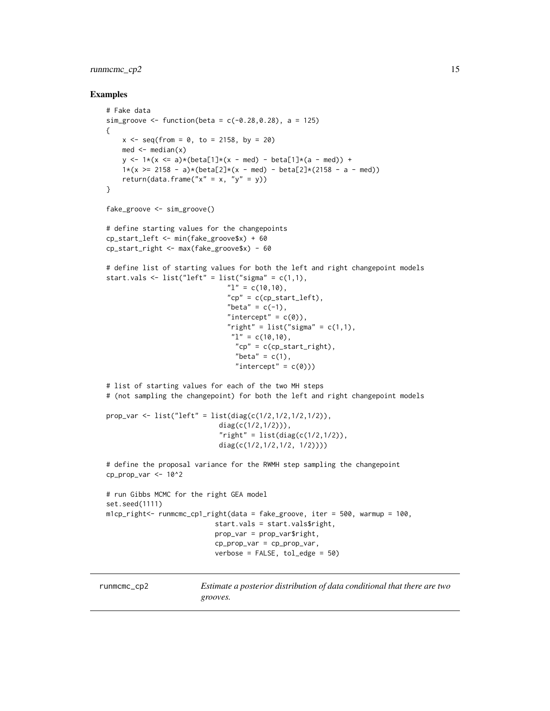# <span id="page-14-0"></span>runmcmc\_cp2 15

```
# Fake data
 sim_groove <- function(beta = c(-0.28, 0.28), a = 125)
 {
     x \le - seq(from = 0, to = 2158, by = 20)
     med <- median(x)
     y \le -1*(x \le a)*(beta[1]*(x - med) - beta[1]*(a - med)) +1*(x \ge 2158 - a)*(beta[2]*(x - med) - beta[2]*(2158 - a - med))return(data.frame("x'' = x, "y'' = y))
 }
 fake_groove <- sim_groove()
 # define starting values for the changepoints
 cp_start_left <- min(fake_groove$x) + 60
 cp_start_right <- max(fake_groove$x) - 60
 # define list of starting values for both the left and right changepoint models
 start.vals \le list("left" = list("sigma" = c(1,1),
                                "1" = c(10,10),
                                "cp" = c(cp_start_left),
                                "beta" = c(-1),
                                "intercept" = c(0)),
                                "right" = list("sigma" = c(1,1),"1" = c(10,10),
                                  "cp" = c(cp_start_right),"beta" = c(1),
                                  "intercept" = c(0)))
 # list of starting values for each of the two MH steps
 # (not sampling the changepoint) for both the left and right changepoint models
 prop_var <- list("left" = list(diag(c(1/2,1/2,1/2,1/2)),
                              diag(c(1/2,1/2))),
                              "right" = list(diag(c(1/2, 1/2)),diag(c(1/2,1/2,1/2, 1/2))))
 # define the proposal variance for the RWMH step sampling the changepoint
 cp_prop_var <- 10^2
 # run Gibbs MCMC for the right GEA model
 set.seed(1111)
 m1cp_right<- runmcmc_cp1_right(data = fake_groove, iter = 500, warmup = 100,
                             start.vals = start.vals$right,
                            prop_var = prop_var$right,
                            cp_prop_var = cp_prop_var,
                             verbose = FALSE, tol_edge = 50)
runmcmc_cp2 Estimate a posterior distribution of data conditional that there are two
```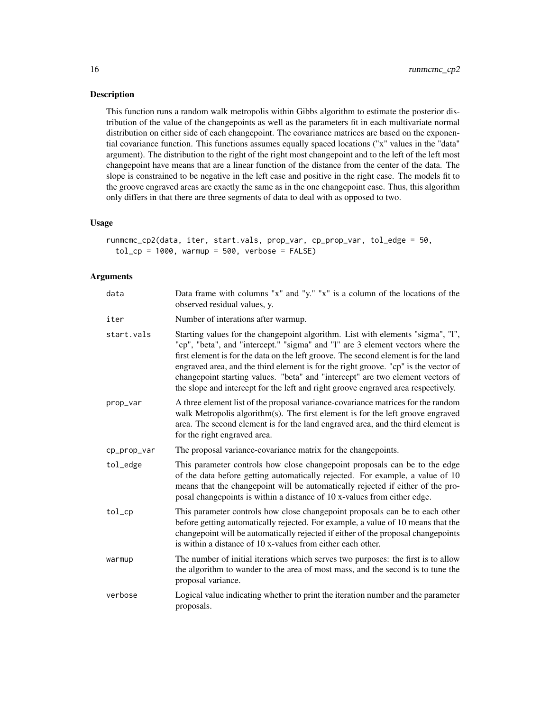# Description

This function runs a random walk metropolis within Gibbs algorithm to estimate the posterior distribution of the value of the changepoints as well as the parameters fit in each multivariate normal distribution on either side of each changepoint. The covariance matrices are based on the exponential covariance function. This functions assumes equally spaced locations ("x" values in the "data" argument). The distribution to the right of the right most changepoint and to the left of the left most changepoint have means that are a linear function of the distance from the center of the data. The slope is constrained to be negative in the left case and positive in the right case. The models fit to the groove engraved areas are exactly the same as in the one changepoint case. Thus, this algorithm only differs in that there are three segments of data to deal with as opposed to two.

#### Usage

runmcmc\_cp2(data, iter, start.vals, prop\_var, cp\_prop\_var, tol\_edge = 50,  $tol_c$ p = 1000, warmup = 500, verbose = FALSE)

# Arguments

| data        | Data frame with columns "x" and "y." "x" is a column of the locations of the<br>observed residual values, y.                                                                                                                                                                                                                                                                                                                                                                                                            |
|-------------|-------------------------------------------------------------------------------------------------------------------------------------------------------------------------------------------------------------------------------------------------------------------------------------------------------------------------------------------------------------------------------------------------------------------------------------------------------------------------------------------------------------------------|
| iter        | Number of interations after warmup.                                                                                                                                                                                                                                                                                                                                                                                                                                                                                     |
| start.vals  | Starting values for the changepoint algorithm. List with elements "sigma", "I",<br>"cp", "beta", and "intercept." "sigma" and "1" are 3 element vectors where the<br>first element is for the data on the left groove. The second element is for the land<br>engraved area, and the third element is for the right groove. "cp" is the vector of<br>changepoint starting values. "beta" and "intercept" are two element vectors of<br>the slope and intercept for the left and right groove engraved area respectively. |
| prop_var    | A three element list of the proposal variance-covariance matrices for the random<br>walk Metropolis algorithm(s). The first element is for the left groove engraved<br>area. The second element is for the land engraved area, and the third element is<br>for the right engraved area.                                                                                                                                                                                                                                 |
| cp_prop_var | The proposal variance-covariance matrix for the changepoints.                                                                                                                                                                                                                                                                                                                                                                                                                                                           |
| tol_edge    | This parameter controls how close changepoint proposals can be to the edge<br>of the data before getting automatically rejected. For example, a value of 10<br>means that the changepoint will be automatically rejected if either of the pro-<br>posal changepoints is within a distance of 10 x-values from either edge.                                                                                                                                                                                              |
| tol         | This parameter controls how close changepoint proposals can be to each other<br>before getting automatically rejected. For example, a value of 10 means that the<br>changepoint will be automatically rejected if either of the proposal changepoints<br>is within a distance of 10 x-values from either each other.                                                                                                                                                                                                    |
| warmup      | The number of initial iterations which serves two purposes: the first is to allow<br>the algorithm to wander to the area of most mass, and the second is to tune the<br>proposal variance.                                                                                                                                                                                                                                                                                                                              |
| verbose     | Logical value indicating whether to print the iteration number and the parameter<br>proposals.                                                                                                                                                                                                                                                                                                                                                                                                                          |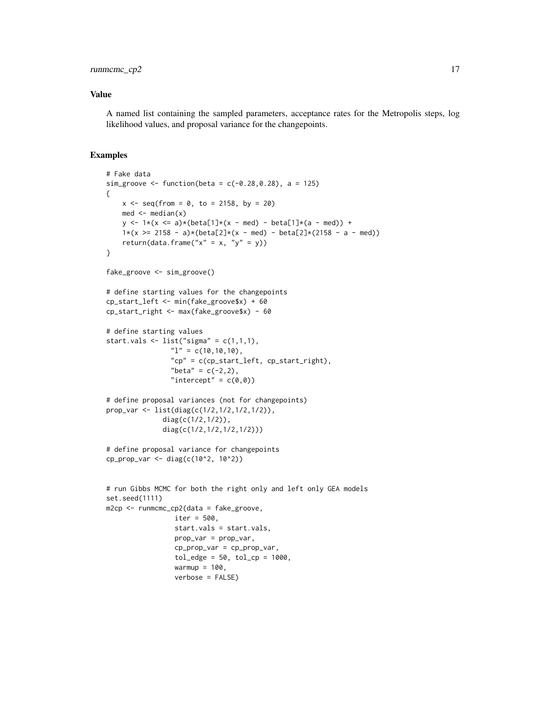# runmcmc\_cp2 17

# Value

A named list containing the sampled parameters, acceptance rates for the Metropolis steps, log likelihood values, and proposal variance for the changepoints.

```
# Fake data
sim_groove <- function(beta = c(-0.28, 0.28), a = 125)
{
   x \le - seq(from = 0, to = 2158, by = 20)
   med <- median(x)
   y \le -1*(x \le a)*(beta[1]*(x - med) - beta[1]*(a - med)) +1*(x \ge 2158 - a)*(beta[2]*(x - med) - beta[2]*(2158 - a - med))return(data.frame("x'' = x, "y'' = y))
}
fake_groove <- sim_groove()
# define starting values for the changepoints
cp_start_left <- min(fake_groove$x) + 60
cp_start_right <- max(fake_groove$x) - 60
# define starting values
start.vals \le list("sigma" = c(1,1,1),
                "1" = c(10,10,10),
                "cp" = c(cp_start_left, cp_start_right),
                "beta" = c(-2, 2),
                "intercept" = c(\emptyset, \emptyset))
# define proposal variances (not for changepoints)
prop_var <- list(diag(c(1/2,1/2,1/2,1/2)),
              diag(c(1/2,1/2)),
              diag(c(1/2,1/2,1/2,1/2)))
# define proposal variance for changepoints
cp_prop_var <- diag(c(10^2, 10^2))
# run Gibbs MCMC for both the right only and left only GEA models
set.seed(1111)
m2cp <- runmcmc_cp2(data = fake_groove,
                 iter = 500,
                 start.vals = start.vals,
                 prop_var = prop_var,
                 cp_prop_var = cp_prop_var,
                 tol\_edge = 50, tol\_cp = 1000,warmup = 100,
                 verbose = FALSE)
```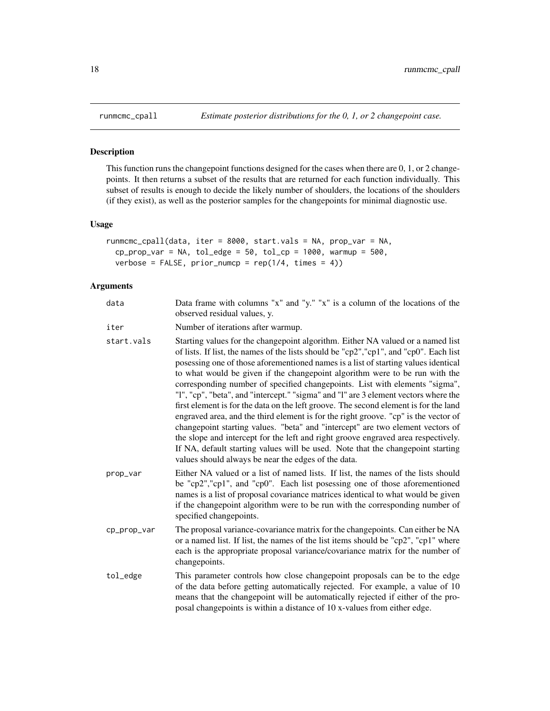#### Description

This function runs the changepoint functions designed for the cases when there are 0, 1, or 2 changepoints. It then returns a subset of the results that are returned for each function individually. This subset of results is enough to decide the likely number of shoulders, the locations of the shoulders (if they exist), as well as the posterior samples for the changepoints for minimal diagnostic use.

#### Usage

```
runmcmc_cpall(data, iter = 8000, start.vals = NA, prop_var = NA,
  cp\_prop\_var = NA, tol\_edge = 50, tol\_cp = 1000, warmup = 500,
  verbose = FALSE, prior\_number = rep(1/4, times = 4)
```
# Arguments

| data        | Data frame with columns "x" and "y." "x" is a column of the locations of the<br>observed residual values, y.                                                                                                                                                                                                                                                                                                                                                                                                                                                                                                                                                                                                                                                                                                                                                                                                                                                                                                         |
|-------------|----------------------------------------------------------------------------------------------------------------------------------------------------------------------------------------------------------------------------------------------------------------------------------------------------------------------------------------------------------------------------------------------------------------------------------------------------------------------------------------------------------------------------------------------------------------------------------------------------------------------------------------------------------------------------------------------------------------------------------------------------------------------------------------------------------------------------------------------------------------------------------------------------------------------------------------------------------------------------------------------------------------------|
| iter        | Number of iterations after warmup.                                                                                                                                                                                                                                                                                                                                                                                                                                                                                                                                                                                                                                                                                                                                                                                                                                                                                                                                                                                   |
| start.vals  | Starting values for the changepoint algorithm. Either NA valued or a named list<br>of lists. If list, the names of the lists should be "cp2", "cp1", and "cp0". Each list<br>posessing one of those aforementioned names is a list of starting values identical<br>to what would be given if the changepoint algorithm were to be run with the<br>corresponding number of specified changepoints. List with elements "sigma",<br>"I", "cp", "beta", and "intercept." "sigma" and "I" are 3 element vectors where the<br>first element is for the data on the left groove. The second element is for the land<br>engraved area, and the third element is for the right groove. "cp" is the vector of<br>changepoint starting values. "beta" and "intercept" are two element vectors of<br>the slope and intercept for the left and right groove engraved area respectively.<br>If NA, default starting values will be used. Note that the changepoint starting<br>values should always be near the edges of the data. |
| prop_var    | Either NA valued or a list of named lists. If list, the names of the lists should<br>be "cp2", "cp1", and "cp0". Each list posessing one of those aforementioned<br>names is a list of proposal covariance matrices identical to what would be given<br>if the changepoint algorithm were to be run with the corresponding number of<br>specified changepoints.                                                                                                                                                                                                                                                                                                                                                                                                                                                                                                                                                                                                                                                      |
| cp_prop_var | The proposal variance-covariance matrix for the changepoints. Can either be NA<br>or a named list. If list, the names of the list items should be "cp2", "cp1" where<br>each is the appropriate proposal variance/covariance matrix for the number of<br>changepoints.                                                                                                                                                                                                                                                                                                                                                                                                                                                                                                                                                                                                                                                                                                                                               |
| tol_edge    | This parameter controls how close changepoint proposals can be to the edge<br>of the data before getting automatically rejected. For example, a value of 10<br>means that the changepoint will be automatically rejected if either of the pro-<br>posal changepoints is within a distance of 10 x-values from either edge.                                                                                                                                                                                                                                                                                                                                                                                                                                                                                                                                                                                                                                                                                           |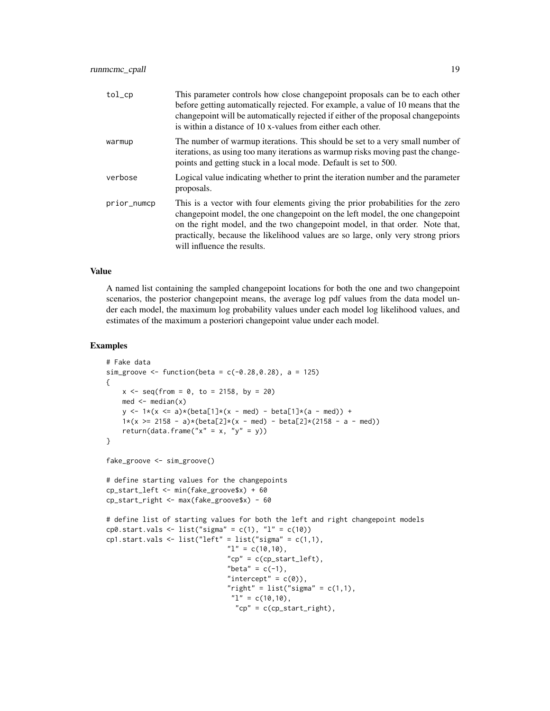| tol         | This parameter controls how close changepoint proposals can be to each other<br>before getting automatically rejected. For example, a value of 10 means that the<br>changepoint will be automatically rejected if either of the proposal changepoints<br>is within a distance of 10 x-values from either each other.                                                |
|-------------|---------------------------------------------------------------------------------------------------------------------------------------------------------------------------------------------------------------------------------------------------------------------------------------------------------------------------------------------------------------------|
| warmup      | The number of warmup iterations. This should be set to a very small number of<br>iterations, as using too many iterations as warmup risks moving past the change-<br>points and getting stuck in a local mode. Default is set to 500.                                                                                                                               |
| verbose     | Logical value indicating whether to print the iteration number and the parameter<br>proposals.                                                                                                                                                                                                                                                                      |
| prior_numcp | This is a vector with four elements giving the prior probabilities for the zero<br>changepoint model, the one changepoint on the left model, the one changepoint<br>on the right model, and the two changepoint model, in that order. Note that,<br>practically, because the likelihood values are so large, only very strong priors<br>will influence the results. |

# Value

A named list containing the sampled changepoint locations for both the one and two changepoint scenarios, the posterior changepoint means, the average log pdf values from the data model under each model, the maximum log probability values under each model log likelihood values, and estimates of the maximum a posteriori changepoint value under each model.

```
# Fake data
sim_groove <- function(beta = c(-0.28, 0.28), a = 125)
{
   x \le - seq(from = 0, to = 2158, by = 20)
   med <- median(x)
   y \le -1*(x \le a)*(beta[1]*(x - med) - beta[1]*(a - med)) +1*(x \ge 2158 - a)*(beta[2]*(x - med) - beta[2]*(2158 - a - med))return(data.frame("x'' = x, "y'' = y))
}
fake_groove <- sim_groove()
# define starting values for the changepoints
cp_start_left <- min(fake_groove$x) + 60
cp_start_right <- max(fake_groove$x) - 60
# define list of starting values for both the left and right changepoint models
cp0.start.vals <- list("sigma" = c(1), "l" = c(10))
cp1.start.vals <- list("left" = list("sigma" = c(1,1),
                              "1" = c(10,10),
                              "cp" = c(cp_start_left),"beta" = c(-1),
                               "intercept" = c(\emptyset),
                               "right" = list("sigma" = c(1,1),
                               "1" = c(10,10),
                                "cp" = c(cp_start_right),
```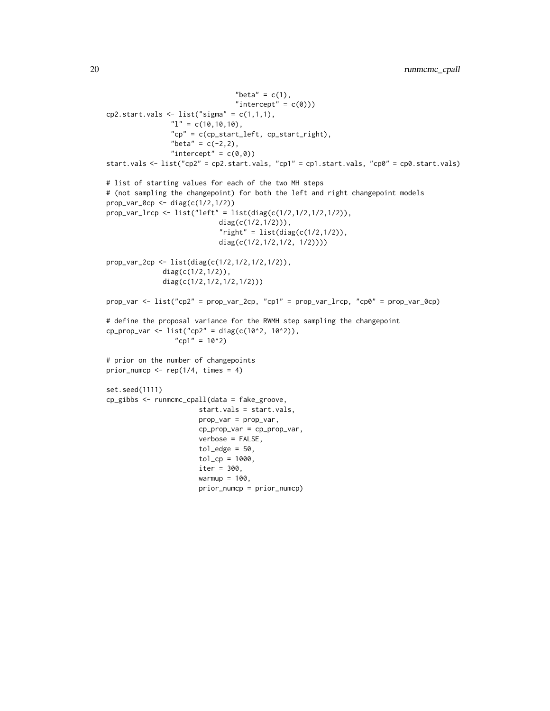```
"beta" = c(1),
                                  "intercept" = c(\emptyset)))
cp2.start.values \leftarrow list("sigma" = c(1,1,1),"1" = c(10,10,10),
                 "cp" = c(cp_start_left, cp_start_right),
                 "beta" = c(-2, 2),
                 "intercept" = c(\emptyset, \emptyset))
start.vals <- list("cp2" = cp2.start.vals, "cp1" = cp1.start.vals, "cp0" = cp0.start.vals)
# list of starting values for each of the two MH steps
# (not sampling the changepoint) for both the left and right changepoint models
prop_var_0cp <- diag(c(1/2,1/2))
prop_var_lrcp <- list("left" = list(diag(c(1/2,1/2,1/2,1/2)),
                             diag(c(1/2,1/2))),
                             "right" = list(diag(c(1/2,1/2)),
                             diag(c(1/2,1/2,1/2, 1/2))))
prop_var_2cp <- list(diag(c(1/2,1/2,1/2,1/2)),
              diag(c(1/2,1/2)),
              diag(c(1/2,1/2,1/2,1/2)))
prop_var <- list("cp2" = prop_var_2cp, "cp1" = prop_var_lrcp, "cp0" = prop_var_0cp)
# define the proposal variance for the RWMH step sampling the changepoint
cp\_prop\_var \leftarrow list("cp2" = diag(c(10^2, 10^2)),"cp1" = 10^2)
# prior on the number of changepoints
prior\_numcp \leftarrow rep(1/4, times = 4)set.seed(1111)
cp_gibbs <- runmcmc_cpall(data = fake_groove,
                        start.vals = start.vals,
                        prop_var = prop_var,
                        cp_prop_var = cp_prop_var,
                        verbose = FALSE,
                        tol\_edge = 50,
                        tol_cp = 1000,
                        iter = 300,
                        warmup = 100,
```
prior\_numcp = prior\_numcp)